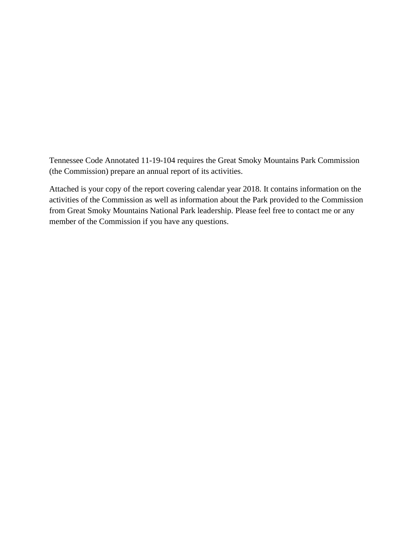Tennessee Code Annotated 11-19-104 requires the Great Smoky Mountains Park Commission (the Commission) prepare an annual report of its activities.

Attached is your copy of the report covering calendar year 2018. It contains information on the activities of the Commission as well as information about the Park provided to the Commission from Great Smoky Mountains National Park leadership. Please feel free to contact me or any member of the Commission if you have any questions.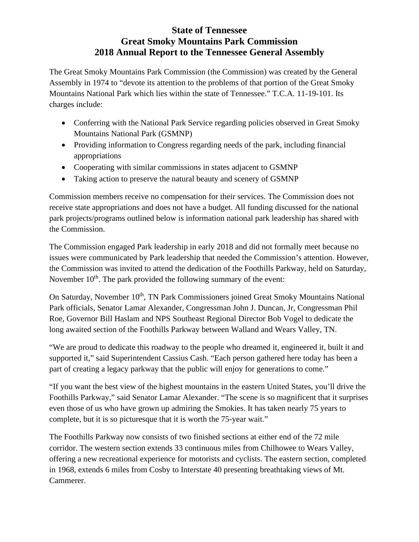## **State of Tennessee Great Smoky Mountains Park Commission 2018 Annual Report to the Tennessee General Assembly**

The Great Smoky Mountains Park Commission (the Commission) was created by the General Assembly in 1974 to "devote its attention to the problems of that portion of the Great Smoky Mountains National Park which lies within the state of Tennessee." T.C.A. 11-19-101. Its charges include:

- Conferring with the National Park Service regarding policies observed in Great Smoky Mountains National Park (GSMNP)
- Providing information to Congress regarding needs of the park, including financial appropriations
- Cooperating with similar commissions in states adjacent to GSMNP
- Taking action to preserve the natural beauty and scenery of GSMNP

Commission members receive no compensation for their services. The Commission does not receive state appropriations and does not have a budget. All funding discussed for the national park projects/programs outlined below is information national park leadership has shared with the Commission.

The Commission engaged Park leadership in early 2018 and did not formally meet because no issues were communicated by Park leadership that needed the Commission's attention. However, the Commission was invited to attend the dedication of the Foothills Parkway, held on Saturday, November  $10<sup>th</sup>$ . The park provided the following summary of the event:

On Saturday, November 10<sup>th</sup>, TN Park Commissioners joined Great Smoky Mountains National Park officials, Senator Lamar Alexander, Congressman John J. Duncan, Jr, Congressman Phil Roe, Governor Bill Haslam and NPS Southeast Regional Director Bob Vogel to dedicate the long awaited section of the Foothills Parkway between Walland and Wears Valley, TN.

"We are proud to dedicate this roadway to the people who dreamed it, engineered it, built it and supported it," said Superintendent Cassius Cash. "Each person gathered here today has been a part of creating a legacy parkway that the public will enjoy for generations to come."

"If you want the best view of the highest mountains in the eastern United States, you'll drive the Foothills Parkway," said Senator Lamar Alexander. "The scene is so magnificent that it surprises even those of us who have grown up admiring the Smokies. It has taken nearly 75 years to complete, but it is so picturesque that it is worth the 75-year wait."

The Foothills Parkway now consists of two finished sections at either end of the 72 mile corridor. The western section extends 33 continuous miles from Chilhowee to Wears Valley, offering a new recreational experience for motorists and cyclists. The eastern section, completed in 1968, extends 6 miles from Cosby to Interstate 40 presenting breathtaking views of Mt. Cammerer.